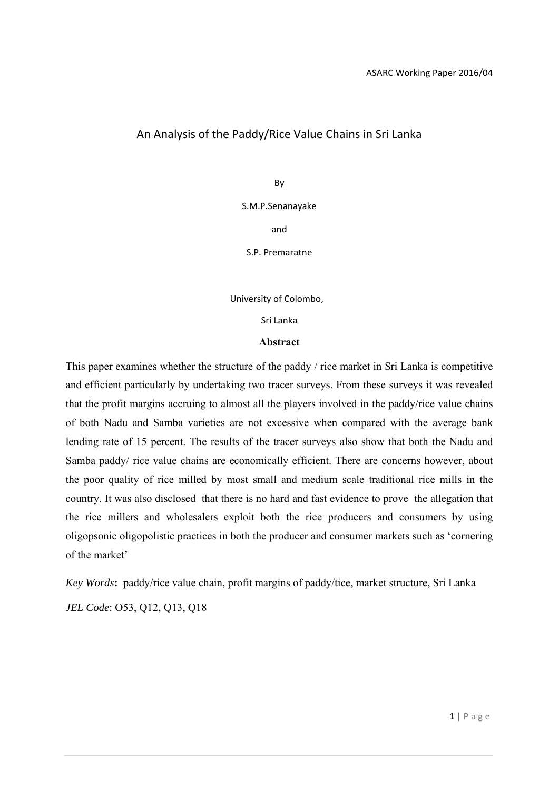# An Analysis of the Paddy/Rice Value Chains in Sri Lanka

By

S.M.P.Senanayake

and

S.P. Premaratne

University of Colombo,

Sri Lanka

#### **Abstract**

This paper examines whether the structure of the paddy / rice market in Sri Lanka is competitive and efficient particularly by undertaking two tracer surveys. From these surveys it was revealed that the profit margins accruing to almost all the players involved in the paddy/rice value chains of both Nadu and Samba varieties are not excessive when compared with the average bank lending rate of 15 percent. The results of the tracer surveys also show that both the Nadu and Samba paddy/ rice value chains are economically efficient. There are concerns however, about the poor quality of rice milled by most small and medium scale traditional rice mills in the country. It was also disclosed that there is no hard and fast evidence to prove the allegation that the rice millers and wholesalers exploit both the rice producers and consumers by using oligopsonic oligopolistic practices in both the producer and consumer markets such as 'cornering of the market'

*Key Words***:** paddy/rice value chain, profit margins of paddy/tice, market structure, Sri Lanka *JEL Code*: O53, Q12, Q13, Q18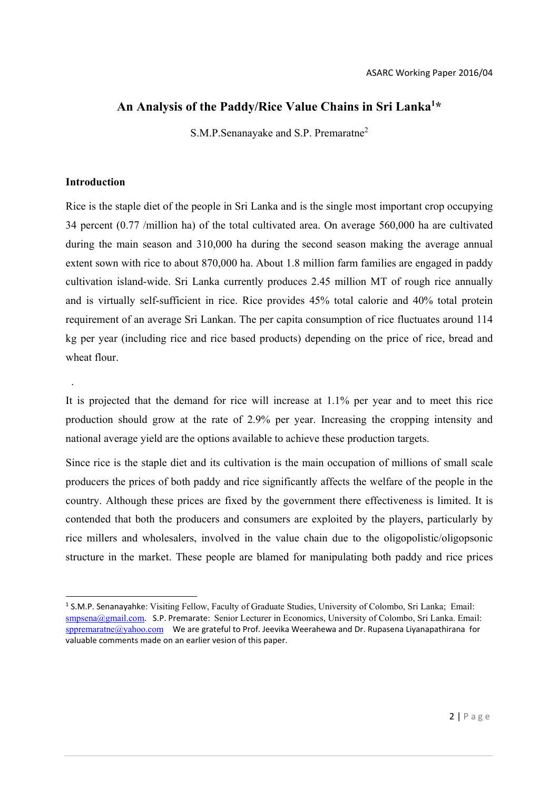# **An Analysis of the Paddy/Rice Value Chains in Sri Lanka<sup>1</sup> \***

S.M.P.Senanayake and S.P. Premaratne2

# **Introduction**

.

Rice is the staple diet of the people in Sri Lanka and is the single most important crop occupying 34 percent (0.77 /million ha) of the total cultivated area. On average 560,000 ha are cultivated during the main season and 310,000 ha during the second season making the average annual extent sown with rice to about 870,000 ha. About 1.8 million farm families are engaged in paddy cultivation island-wide. Sri Lanka currently produces 2.45 million MT of rough rice annually and is virtually self-sufficient in rice. Rice provides 45% total calorie and 40% total protein requirement of an average Sri Lankan. The per capita consumption of rice fluctuates around 114 kg per year (including rice and rice based products) depending on the price of rice, bread and wheat flour.

It is projected that the demand for rice will increase at 1.1% per year and to meet this rice production should grow at the rate of 2.9% per year. Increasing the cropping intensity and national average yield are the options available to achieve these production targets.

Since rice is the staple diet and its cultivation is the main occupation of millions of small scale producers the prices of both paddy and rice significantly affects the welfare of the people in the country. Although these prices are fixed by the government there effectiveness is limited. It is contended that both the producers and consumers are exploited by the players, particularly by rice millers and wholesalers, involved in the value chain due to the oligopolistic/oligopsonic structure in the market. These people are blamed for manipulating both paddy and rice prices

<sup>1</sup> S.M.P. Senanayahke: Visiting Fellow, Faculty of Graduate Studies, University of Colombo, Sri Lanka; Email: smpsena@gmail.com. S.P. Premarate: Senior Lecturer in Economics, University of Colombo, Sri Lanka. Email:  $s$ ppremaratne $@$ yahoo.com We are grateful to Prof. Jeevika Weerahewa and Dr. Rupasena Liyanapathirana for valuable comments made on an earlier vesion of this paper.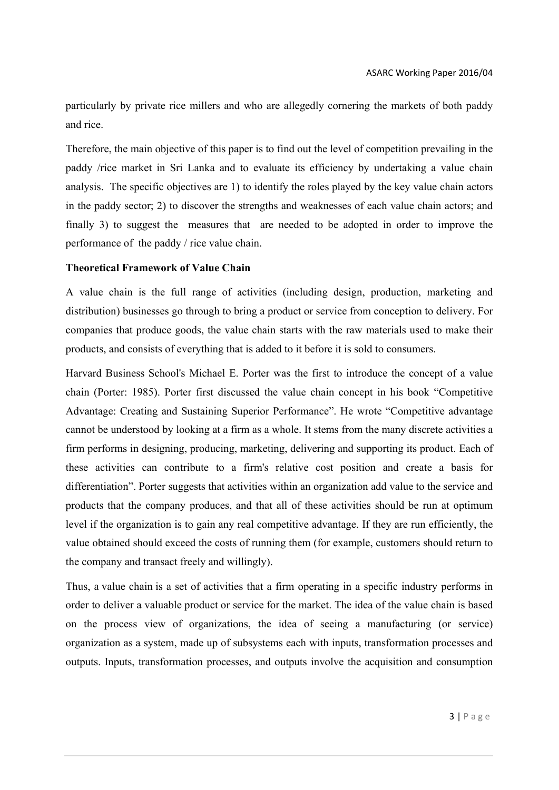particularly by private rice millers and who are allegedly cornering the markets of both paddy and rice.

Therefore, the main objective of this paper is to find out the level of competition prevailing in the paddy /rice market in Sri Lanka and to evaluate its efficiency by undertaking a value chain analysis. The specific objectives are 1) to identify the roles played by the key value chain actors in the paddy sector; 2) to discover the strengths and weaknesses of each value chain actors; and finally 3) to suggest the measures that are needed to be adopted in order to improve the performance of the paddy / rice value chain.

# **Theoretical Framework of Value Chain**

A value chain is the full range of activities (including design, production, marketing and distribution) businesses go through to bring a product or service from conception to delivery. For companies that produce goods, the value chain starts with the raw materials used to make their products, and consists of everything that is added to it before it is sold to consumers.

Harvard Business School's Michael E. Porter was the first to introduce the concept of a value chain (Porter: 1985). Porter first discussed the value chain concept in his book "Competitive Advantage: Creating and Sustaining Superior Performance". He wrote "Competitive advantage cannot be understood by looking at a firm as a whole. It stems from the many discrete activities a firm performs in designing, producing, marketing, delivering and supporting its product. Each of these activities can contribute to a firm's relative cost position and create a basis for differentiation". Porter suggests that activities within an organization add value to the service and products that the company produces, and that all of these activities should be run at optimum level if the organization is to gain any real competitive advantage. If they are run efficiently, the value obtained should exceed the costs of running them (for example, customers should return to the company and transact freely and willingly).

Thus, a value chain is a set of activities that a firm operating in a specific industry performs in order to deliver a valuable product or service for the market. The idea of the value chain is based on the process view of organizations, the idea of seeing a manufacturing (or service) organization as a system, made up of subsystems each with inputs, transformation processes and outputs. Inputs, transformation processes, and outputs involve the acquisition and consumption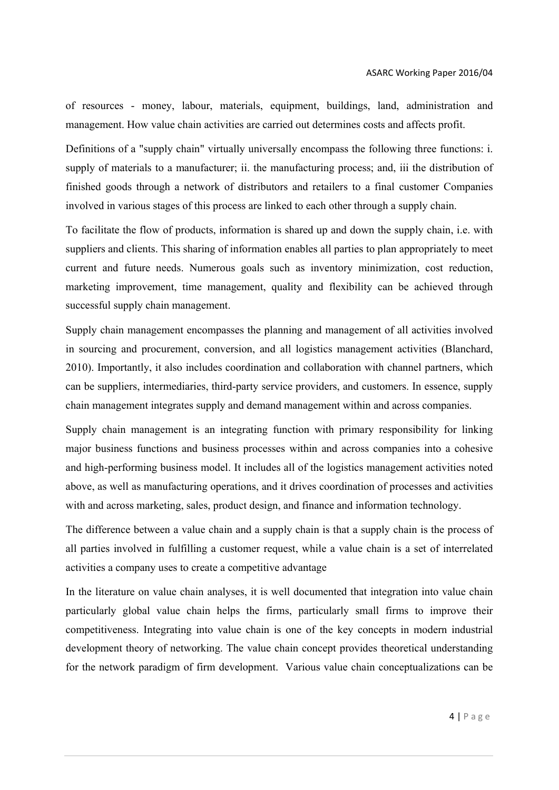of resources - money, labour, materials, equipment, buildings, land, administration and management. How value chain activities are carried out determines costs and affects profit.

Definitions of a "supply chain" virtually universally encompass the following three functions: i. supply of materials to a manufacturer; ii. the manufacturing process; and, iii the distribution of finished goods through a network of distributors and retailers to a final customer Companies involved in various stages of this process are linked to each other through a supply chain.

To facilitate the flow of products, information is shared up and down the supply chain, i.e. with suppliers and clients. This sharing of information enables all parties to plan appropriately to meet current and future needs. Numerous goals such as inventory minimization, cost reduction, marketing improvement, time management, quality and flexibility can be achieved through successful supply chain management.

Supply chain management encompasses the planning and management of all activities involved in sourcing and procurement, conversion, and all logistics management activities (Blanchard, 2010). Importantly, it also includes coordination and collaboration with channel partners, which can be suppliers, intermediaries, third-party service providers, and customers. In essence, supply chain management integrates supply and demand management within and across companies.

Supply chain management is an integrating function with primary responsibility for linking major business functions and business processes within and across companies into a cohesive and high-performing business model. It includes all of the logistics management activities noted above, as well as manufacturing operations, and it drives coordination of processes and activities with and across marketing, sales, product design, and finance and information technology.

The difference between a value chain and a supply chain is that a supply chain is the process of all parties involved in fulfilling a customer request, while a value chain is a set of interrelated activities a company uses to create a competitive advantage

In the literature on value chain analyses, it is well documented that integration into value chain particularly global value chain helps the firms, particularly small firms to improve their competitiveness. Integrating into value chain is one of the key concepts in modern industrial development theory of networking. The value chain concept provides theoretical understanding for the network paradigm of firm development. Various value chain conceptualizations can be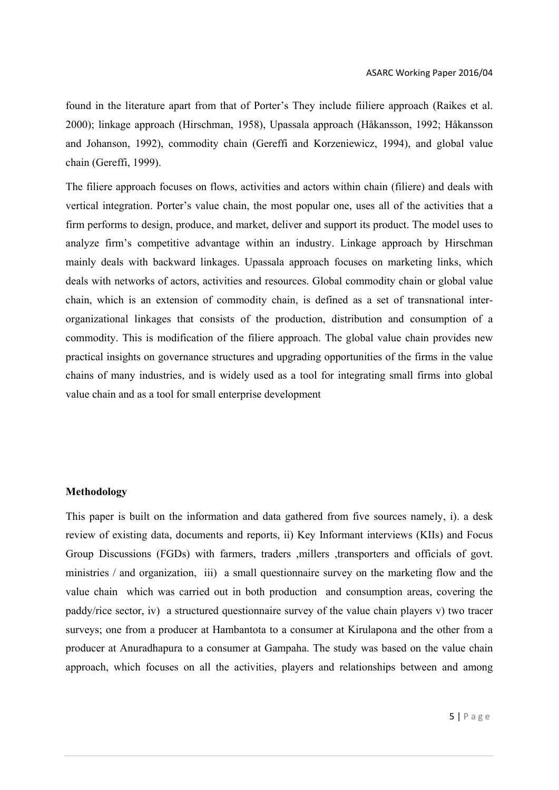found in the literature apart from that of Porter's They include fiiliere approach (Raikes et al. 2000); linkage approach (Hirschman, 1958), Upassala approach (Håkansson, 1992; Håkansson and Johanson, 1992), commodity chain (Gereffi and Korzeniewicz, 1994), and global value chain (Gereffi, 1999).

The filiere approach focuses on flows, activities and actors within chain (filiere) and deals with vertical integration. Porter's value chain, the most popular one, uses all of the activities that a firm performs to design, produce, and market, deliver and support its product. The model uses to analyze firm's competitive advantage within an industry. Linkage approach by Hirschman mainly deals with backward linkages. Upassala approach focuses on marketing links, which deals with networks of actors, activities and resources. Global commodity chain or global value chain, which is an extension of commodity chain, is defined as a set of transnational interorganizational linkages that consists of the production, distribution and consumption of a commodity. This is modification of the filiere approach. The global value chain provides new practical insights on governance structures and upgrading opportunities of the firms in the value chains of many industries, and is widely used as a tool for integrating small firms into global value chain and as a tool for small enterprise development

# **Methodology**

This paper is built on the information and data gathered from five sources namely, i). a desk review of existing data, documents and reports, ii) Key Informant interviews (KIIs) and Focus Group Discussions (FGDs) with farmers, traders ,millers ,transporters and officials of govt. ministries / and organization, iii) a small questionnaire survey on the marketing flow and the value chain which was carried out in both production and consumption areas, covering the paddy/rice sector, iv) a structured questionnaire survey of the value chain players v) two tracer surveys; one from a producer at Hambantota to a consumer at Kirulapona and the other from a producer at Anuradhapura to a consumer at Gampaha. The study was based on the value chain approach, which focuses on all the activities, players and relationships between and among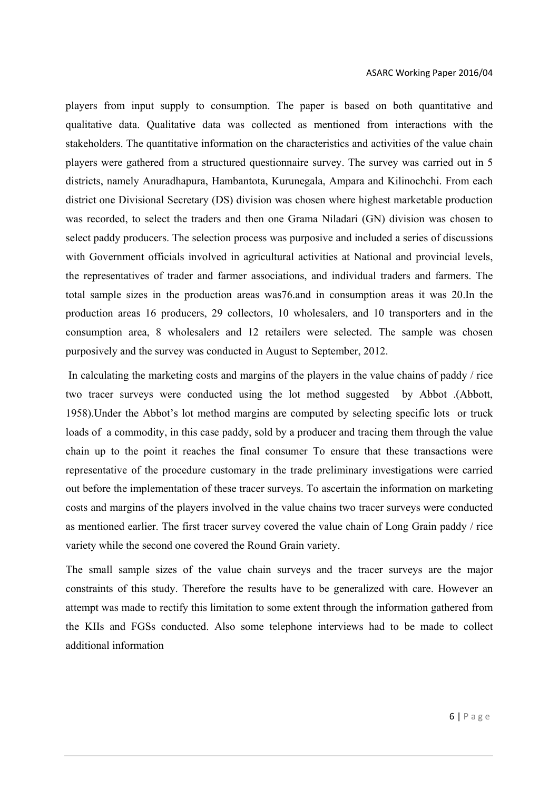players from input supply to consumption. The paper is based on both quantitative and qualitative data. Qualitative data was collected as mentioned from interactions with the stakeholders. The quantitative information on the characteristics and activities of the value chain players were gathered from a structured questionnaire survey. The survey was carried out in 5 districts, namely Anuradhapura, Hambantota, Kurunegala, Ampara and Kilinochchi. From each district one Divisional Secretary (DS) division was chosen where highest marketable production was recorded, to select the traders and then one Grama Niladari (GN) division was chosen to select paddy producers. The selection process was purposive and included a series of discussions with Government officials involved in agricultural activities at National and provincial levels, the representatives of trader and farmer associations, and individual traders and farmers. The total sample sizes in the production areas was76.and in consumption areas it was 20.In the production areas 16 producers, 29 collectors, 10 wholesalers, and 10 transporters and in the consumption area, 8 wholesalers and 12 retailers were selected. The sample was chosen purposively and the survey was conducted in August to September, 2012.

 In calculating the marketing costs and margins of the players in the value chains of paddy / rice two tracer surveys were conducted using the lot method suggested by Abbot .(Abbott, 1958).Under the Abbot's lot method margins are computed by selecting specific lots or truck loads of a commodity, in this case paddy, sold by a producer and tracing them through the value chain up to the point it reaches the final consumer To ensure that these transactions were representative of the procedure customary in the trade preliminary investigations were carried out before the implementation of these tracer surveys. To ascertain the information on marketing costs and margins of the players involved in the value chains two tracer surveys were conducted as mentioned earlier. The first tracer survey covered the value chain of Long Grain paddy / rice variety while the second one covered the Round Grain variety.

The small sample sizes of the value chain surveys and the tracer surveys are the major constraints of this study. Therefore the results have to be generalized with care. However an attempt was made to rectify this limitation to some extent through the information gathered from the KIIs and FGSs conducted. Also some telephone interviews had to be made to collect additional information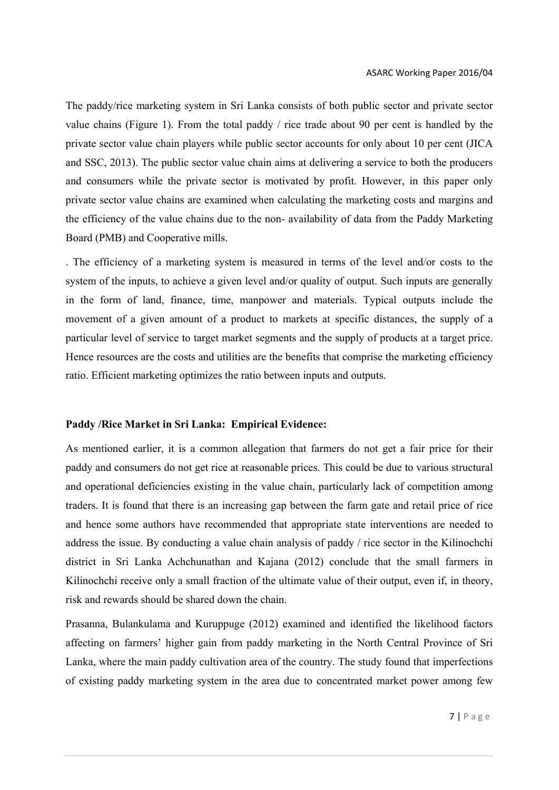The paddy/rice marketing system in Sri Lanka consists of both public sector and private sector value chains (Figure 1). From the total paddy / rice trade about 90 per cent is handled by the private sector value chain players while public sector accounts for only about 10 per cent (JICA and SSC, 2013). The public sector value chain aims at delivering a service to both the producers and consumers while the private sector is motivated by profit. However, in this paper only private sector value chains are examined when calculating the marketing costs and margins and the efficiency of the value chains due to the non- availability of data from the Paddy Marketing Board (PMB) and Cooperative mills.

. The efficiency of a marketing system is measured in terms of the level and/or costs to the system of the inputs, to achieve a given level and/or quality of output. Such inputs are generally in the form of land, finance, time, manpower and materials. Typical outputs include the movement of a given amount of a product to markets at specific distances, the supply of a particular level of service to target market segments and the supply of products at a target price. Hence resources are the costs and utilities are the benefits that comprise the marketing efficiency ratio. Efficient marketing optimizes the ratio between inputs and outputs.

#### **Paddy /Rice Market in Sri Lanka: Empirical Evidence:**

As mentioned earlier, it is a common allegation that farmers do not get a fair price for their paddy and consumers do not get rice at reasonable prices. This could be due to various structural and operational deficiencies existing in the value chain, particularly lack of competition among traders. It is found that there is an increasing gap between the farm gate and retail price of rice and hence some authors have recommended that appropriate state interventions are needed to address the issue. By conducting a value chain analysis of paddy / rice sector in the Kilinochchi district in Sri Lanka Achchunathan and Kajana (2012) conclude that the small farmers in Kilinochchi receive only a small fraction of the ultimate value of their output, even if, in theory, risk and rewards should be shared down the chain.

Prasanna, Bulankulama and Kuruppuge (2012) examined and identified the likelihood factors affecting on farmers' higher gain from paddy marketing in the North Central Province of Sri Lanka, where the main paddy cultivation area of the country. The study found that imperfections of existing paddy marketing system in the area due to concentrated market power among few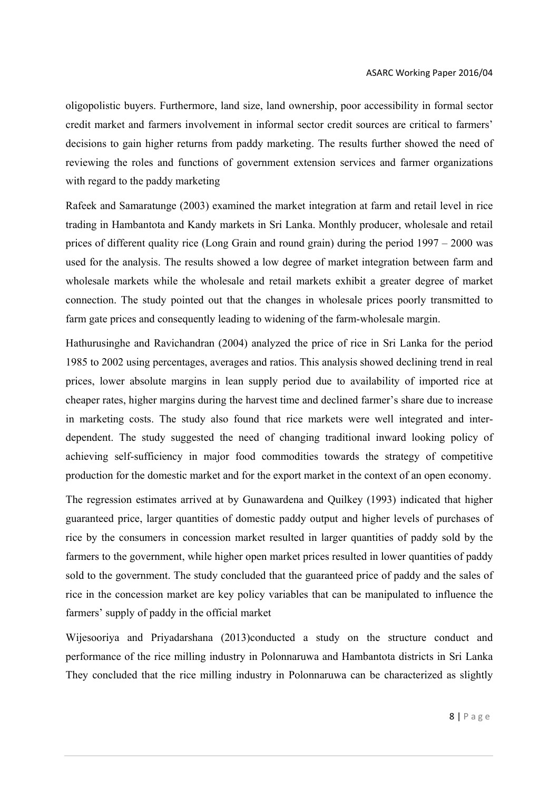oligopolistic buyers. Furthermore, land size, land ownership, poor accessibility in formal sector credit market and farmers involvement in informal sector credit sources are critical to farmers' decisions to gain higher returns from paddy marketing. The results further showed the need of reviewing the roles and functions of government extension services and farmer organizations with regard to the paddy marketing

Rafeek and Samaratunge (2003) examined the market integration at farm and retail level in rice trading in Hambantota and Kandy markets in Sri Lanka. Monthly producer, wholesale and retail prices of different quality rice (Long Grain and round grain) during the period 1997 – 2000 was used for the analysis. The results showed a low degree of market integration between farm and wholesale markets while the wholesale and retail markets exhibit a greater degree of market connection. The study pointed out that the changes in wholesale prices poorly transmitted to farm gate prices and consequently leading to widening of the farm-wholesale margin.

Hathurusinghe and Ravichandran (2004) analyzed the price of rice in Sri Lanka for the period 1985 to 2002 using percentages, averages and ratios. This analysis showed declining trend in real prices, lower absolute margins in lean supply period due to availability of imported rice at cheaper rates, higher margins during the harvest time and declined farmer's share due to increase in marketing costs. The study also found that rice markets were well integrated and interdependent. The study suggested the need of changing traditional inward looking policy of achieving self-sufficiency in major food commodities towards the strategy of competitive production for the domestic market and for the export market in the context of an open economy.

The regression estimates arrived at by Gunawardena and Quilkey (1993) indicated that higher guaranteed price, larger quantities of domestic paddy output and higher levels of purchases of rice by the consumers in concession market resulted in larger quantities of paddy sold by the farmers to the government, while higher open market prices resulted in lower quantities of paddy sold to the government. The study concluded that the guaranteed price of paddy and the sales of rice in the concession market are key policy variables that can be manipulated to influence the farmers' supply of paddy in the official market

Wijesooriya and Priyadarshana (2013)conducted a study on the structure conduct and performance of the rice milling industry in Polonnaruwa and Hambantota districts in Sri Lanka They concluded that the rice milling industry in Polonnaruwa can be characterized as slightly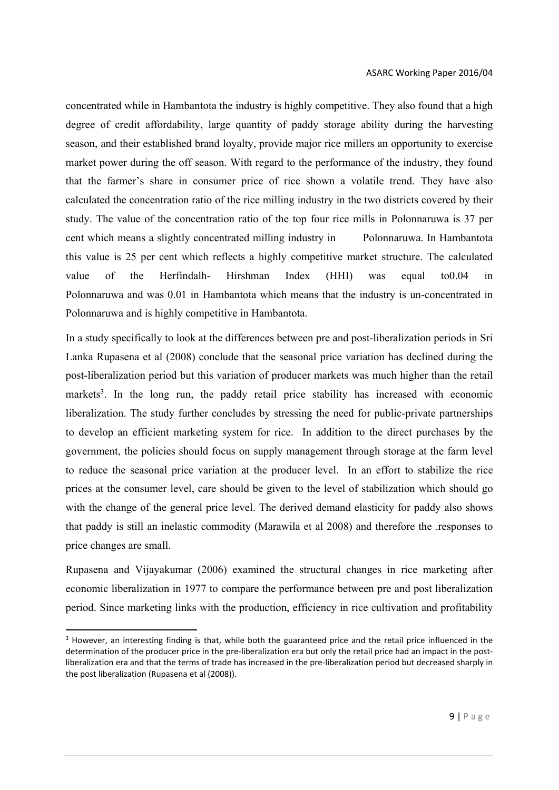concentrated while in Hambantota the industry is highly competitive. They also found that a high degree of credit affordability, large quantity of paddy storage ability during the harvesting season, and their established brand loyalty, provide major rice millers an opportunity to exercise market power during the off season. With regard to the performance of the industry, they found that the farmer's share in consumer price of rice shown a volatile trend. They have also calculated the concentration ratio of the rice milling industry in the two districts covered by their study. The value of the concentration ratio of the top four rice mills in Polonnaruwa is 37 per cent which means a slightly concentrated milling industry in Polonnaruwa. In Hambantota this value is 25 per cent which reflects a highly competitive market structure. The calculated value of the Herfindalh- Hirshman Index (HHI) was equal to0.04 in Polonnaruwa and was 0.01 in Hambantota which means that the industry is un-concentrated in Polonnaruwa and is highly competitive in Hambantota.

In a study specifically to look at the differences between pre and post-liberalization periods in Sri Lanka Rupasena et al (2008) conclude that the seasonal price variation has declined during the post-liberalization period but this variation of producer markets was much higher than the retail markets<sup>3</sup>. In the long run, the paddy retail price stability has increased with economic liberalization. The study further concludes by stressing the need for public-private partnerships to develop an efficient marketing system for rice. In addition to the direct purchases by the government, the policies should focus on supply management through storage at the farm level to reduce the seasonal price variation at the producer level. In an effort to stabilize the rice prices at the consumer level, care should be given to the level of stabilization which should go with the change of the general price level. The derived demand elasticity for paddy also shows that paddy is still an inelastic commodity (Marawila et al 2008) and therefore the .responses to price changes are small.

Rupasena and Vijayakumar (2006) examined the structural changes in rice marketing after economic liberalization in 1977 to compare the performance between pre and post liberalization period. Since marketing links with the production, efficiency in rice cultivation and profitability

<sup>&</sup>lt;sup>3</sup> However, an interesting finding is that, while both the guaranteed price and the retail price influenced in the determination of the producer price in the pre-liberalization era but only the retail price had an impact in the postliberalization era and that the terms of trade has increased in the pre‐liberalization period but decreased sharply in the post liberalization (Rupasena et al (2008)).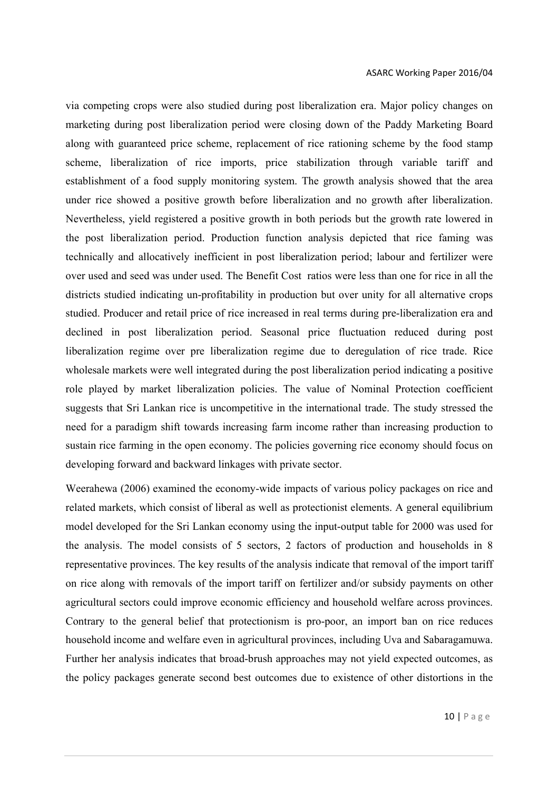via competing crops were also studied during post liberalization era. Major policy changes on marketing during post liberalization period were closing down of the Paddy Marketing Board along with guaranteed price scheme, replacement of rice rationing scheme by the food stamp scheme, liberalization of rice imports, price stabilization through variable tariff and establishment of a food supply monitoring system. The growth analysis showed that the area under rice showed a positive growth before liberalization and no growth after liberalization. Nevertheless, yield registered a positive growth in both periods but the growth rate lowered in the post liberalization period. Production function analysis depicted that rice faming was technically and allocatively inefficient in post liberalization period; labour and fertilizer were over used and seed was under used. The Benefit Cost ratios were less than one for rice in all the districts studied indicating un-profitability in production but over unity for all alternative crops studied. Producer and retail price of rice increased in real terms during pre-liberalization era and declined in post liberalization period. Seasonal price fluctuation reduced during post liberalization regime over pre liberalization regime due to deregulation of rice trade. Rice wholesale markets were well integrated during the post liberalization period indicating a positive role played by market liberalization policies. The value of Nominal Protection coefficient suggests that Sri Lankan rice is uncompetitive in the international trade. The study stressed the need for a paradigm shift towards increasing farm income rather than increasing production to sustain rice farming in the open economy. The policies governing rice economy should focus on developing forward and backward linkages with private sector.

Weerahewa (2006) examined the economy-wide impacts of various policy packages on rice and related markets, which consist of liberal as well as protectionist elements. A general equilibrium model developed for the Sri Lankan economy using the input-output table for 2000 was used for the analysis. The model consists of 5 sectors, 2 factors of production and households in 8 representative provinces. The key results of the analysis indicate that removal of the import tariff on rice along with removals of the import tariff on fertilizer and/or subsidy payments on other agricultural sectors could improve economic efficiency and household welfare across provinces. Contrary to the general belief that protectionism is pro-poor, an import ban on rice reduces household income and welfare even in agricultural provinces, including Uva and Sabaragamuwa. Further her analysis indicates that broad-brush approaches may not yield expected outcomes, as the policy packages generate second best outcomes due to existence of other distortions in the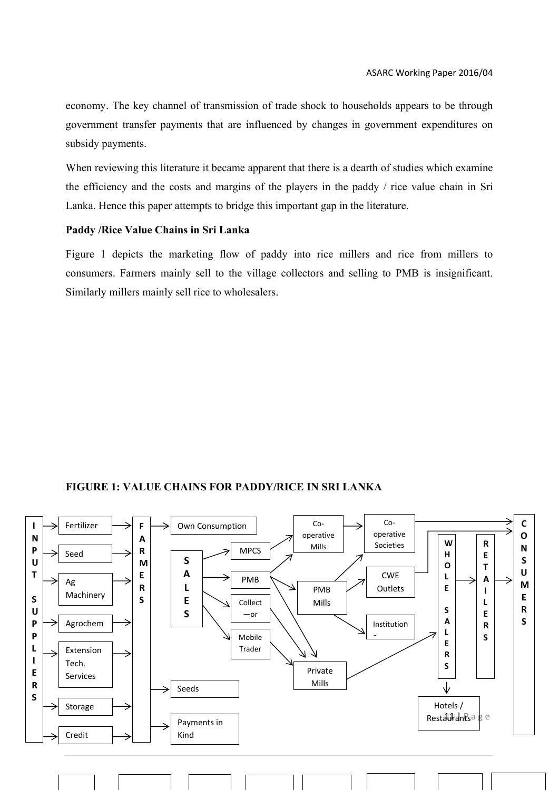economy. The key channel of transmission of trade shock to households appears to be through government transfer payments that are influenced by changes in government expenditures on subsidy payments.

When reviewing this literature it became apparent that there is a dearth of studies which examine the efficiency and the costs and margins of the players in the paddy / rice value chain in Sri Lanka. Hence this paper attempts to bridge this important gap in the literature.

# **Paddy /Rice Value Chains in Sri Lanka**

Figure 1 depicts the marketing flow of paddy into rice millers and rice from millers to consumers. Farmers mainly sell to the village collectors and selling to PMB is insignificant. Similarly millers mainly sell rice to wholesalers.

# **FIGURE 1: VALUE CHAINS FOR PADDY/RICE IN SRI LANKA**

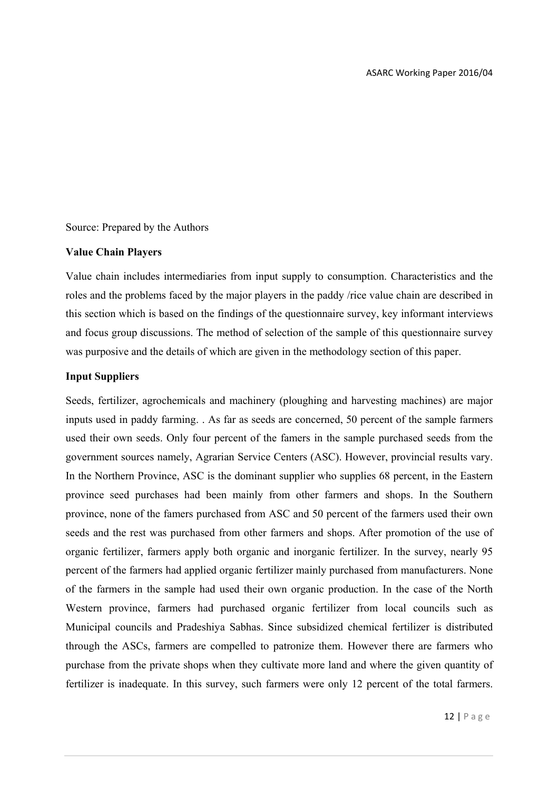# Source: Prepared by the Authors

# **Value Chain Players**

Value chain includes intermediaries from input supply to consumption. Characteristics and the roles and the problems faced by the major players in the paddy /rice value chain are described in this section which is based on the findings of the questionnaire survey, key informant interviews and focus group discussions. The method of selection of the sample of this questionnaire survey was purposive and the details of which are given in the methodology section of this paper.

# **Input Suppliers**

Seeds, fertilizer, agrochemicals and machinery (ploughing and harvesting machines) are major inputs used in paddy farming. . As far as seeds are concerned, 50 percent of the sample farmers used their own seeds. Only four percent of the famers in the sample purchased seeds from the government sources namely, Agrarian Service Centers (ASC). However, provincial results vary. In the Northern Province, ASC is the dominant supplier who supplies 68 percent, in the Eastern province seed purchases had been mainly from other farmers and shops. In the Southern province, none of the famers purchased from ASC and 50 percent of the farmers used their own seeds and the rest was purchased from other farmers and shops. After promotion of the use of organic fertilizer, farmers apply both organic and inorganic fertilizer. In the survey, nearly 95 percent of the farmers had applied organic fertilizer mainly purchased from manufacturers. None of the farmers in the sample had used their own organic production. In the case of the North Western province, farmers had purchased organic fertilizer from local councils such as Municipal councils and Pradeshiya Sabhas. Since subsidized chemical fertilizer is distributed through the ASCs, farmers are compelled to patronize them. However there are farmers who purchase from the private shops when they cultivate more land and where the given quantity of fertilizer is inadequate. In this survey, such farmers were only 12 percent of the total farmers.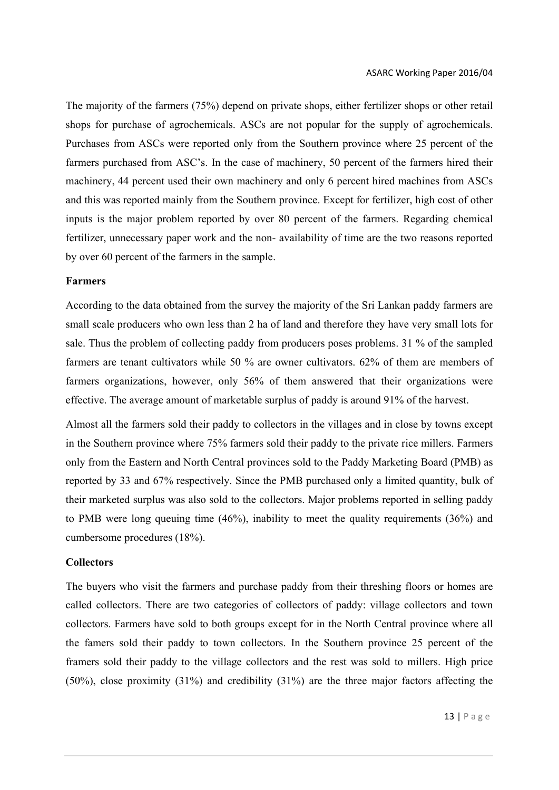The majority of the farmers (75%) depend on private shops, either fertilizer shops or other retail shops for purchase of agrochemicals. ASCs are not popular for the supply of agrochemicals. Purchases from ASCs were reported only from the Southern province where 25 percent of the farmers purchased from ASC's. In the case of machinery, 50 percent of the farmers hired their machinery, 44 percent used their own machinery and only 6 percent hired machines from ASCs and this was reported mainly from the Southern province. Except for fertilizer, high cost of other inputs is the major problem reported by over 80 percent of the farmers. Regarding chemical fertilizer, unnecessary paper work and the non- availability of time are the two reasons reported by over 60 percent of the farmers in the sample.

#### **Farmers**

According to the data obtained from the survey the majority of the Sri Lankan paddy farmers are small scale producers who own less than 2 ha of land and therefore they have very small lots for sale. Thus the problem of collecting paddy from producers poses problems. 31 % of the sampled farmers are tenant cultivators while 50 % are owner cultivators. 62% of them are members of farmers organizations, however, only 56% of them answered that their organizations were effective. The average amount of marketable surplus of paddy is around 91% of the harvest.

Almost all the farmers sold their paddy to collectors in the villages and in close by towns except in the Southern province where 75% farmers sold their paddy to the private rice millers. Farmers only from the Eastern and North Central provinces sold to the Paddy Marketing Board (PMB) as reported by 33 and 67% respectively. Since the PMB purchased only a limited quantity, bulk of their marketed surplus was also sold to the collectors. Major problems reported in selling paddy to PMB were long queuing time (46%), inability to meet the quality requirements (36%) and cumbersome procedures (18%).

### **Collectors**

The buyers who visit the farmers and purchase paddy from their threshing floors or homes are called collectors. There are two categories of collectors of paddy: village collectors and town collectors. Farmers have sold to both groups except for in the North Central province where all the famers sold their paddy to town collectors. In the Southern province 25 percent of the framers sold their paddy to the village collectors and the rest was sold to millers. High price (50%), close proximity (31%) and credibility (31%) are the three major factors affecting the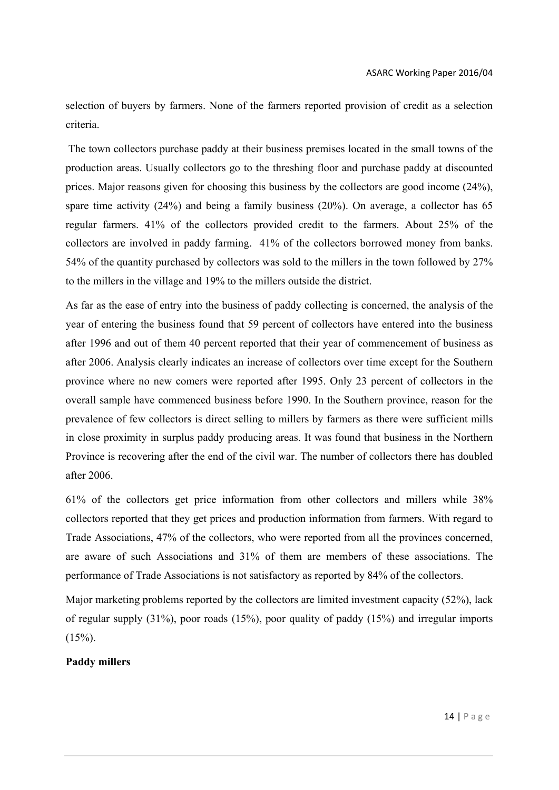selection of buyers by farmers. None of the farmers reported provision of credit as a selection criteria.

 The town collectors purchase paddy at their business premises located in the small towns of the production areas. Usually collectors go to the threshing floor and purchase paddy at discounted prices. Major reasons given for choosing this business by the collectors are good income (24%), spare time activity (24%) and being a family business (20%). On average, a collector has 65 regular farmers. 41% of the collectors provided credit to the farmers. About 25% of the collectors are involved in paddy farming. 41% of the collectors borrowed money from banks. 54% of the quantity purchased by collectors was sold to the millers in the town followed by 27% to the millers in the village and 19% to the millers outside the district.

As far as the ease of entry into the business of paddy collecting is concerned, the analysis of the year of entering the business found that 59 percent of collectors have entered into the business after 1996 and out of them 40 percent reported that their year of commencement of business as after 2006. Analysis clearly indicates an increase of collectors over time except for the Southern province where no new comers were reported after 1995. Only 23 percent of collectors in the overall sample have commenced business before 1990. In the Southern province, reason for the prevalence of few collectors is direct selling to millers by farmers as there were sufficient mills in close proximity in surplus paddy producing areas. It was found that business in the Northern Province is recovering after the end of the civil war. The number of collectors there has doubled after 2006.

61% of the collectors get price information from other collectors and millers while 38% collectors reported that they get prices and production information from farmers. With regard to Trade Associations, 47% of the collectors, who were reported from all the provinces concerned, are aware of such Associations and 31% of them are members of these associations. The performance of Trade Associations is not satisfactory as reported by 84% of the collectors.

Major marketing problems reported by the collectors are limited investment capacity (52%), lack of regular supply (31%), poor roads (15%), poor quality of paddy (15%) and irregular imports  $(15\%)$ .

# **Paddy millers**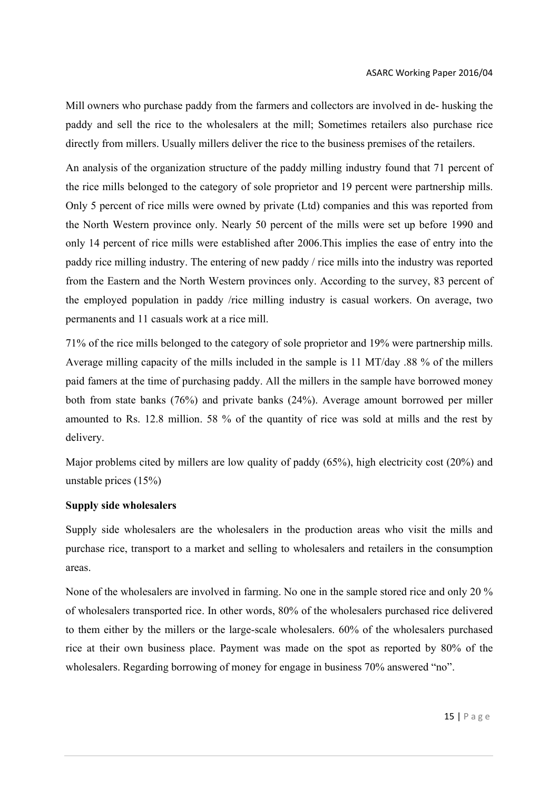Mill owners who purchase paddy from the farmers and collectors are involved in de- husking the paddy and sell the rice to the wholesalers at the mill; Sometimes retailers also purchase rice directly from millers. Usually millers deliver the rice to the business premises of the retailers.

An analysis of the organization structure of the paddy milling industry found that 71 percent of the rice mills belonged to the category of sole proprietor and 19 percent were partnership mills. Only 5 percent of rice mills were owned by private (Ltd) companies and this was reported from the North Western province only. Nearly 50 percent of the mills were set up before 1990 and only 14 percent of rice mills were established after 2006.This implies the ease of entry into the paddy rice milling industry. The entering of new paddy / rice mills into the industry was reported from the Eastern and the North Western provinces only. According to the survey, 83 percent of the employed population in paddy /rice milling industry is casual workers. On average, two permanents and 11 casuals work at a rice mill.

71% of the rice mills belonged to the category of sole proprietor and 19% were partnership mills. Average milling capacity of the mills included in the sample is 11 MT/day .88 % of the millers paid famers at the time of purchasing paddy. All the millers in the sample have borrowed money both from state banks (76%) and private banks (24%). Average amount borrowed per miller amounted to Rs. 12.8 million. 58 % of the quantity of rice was sold at mills and the rest by delivery.

Major problems cited by millers are low quality of paddy (65%), high electricity cost (20%) and unstable prices (15%)

# **Supply side wholesalers**

Supply side wholesalers are the wholesalers in the production areas who visit the mills and purchase rice, transport to a market and selling to wholesalers and retailers in the consumption areas.

None of the wholesalers are involved in farming. No one in the sample stored rice and only 20 % of wholesalers transported rice. In other words, 80% of the wholesalers purchased rice delivered to them either by the millers or the large-scale wholesalers. 60% of the wholesalers purchased rice at their own business place. Payment was made on the spot as reported by 80% of the wholesalers. Regarding borrowing of money for engage in business 70% answered "no".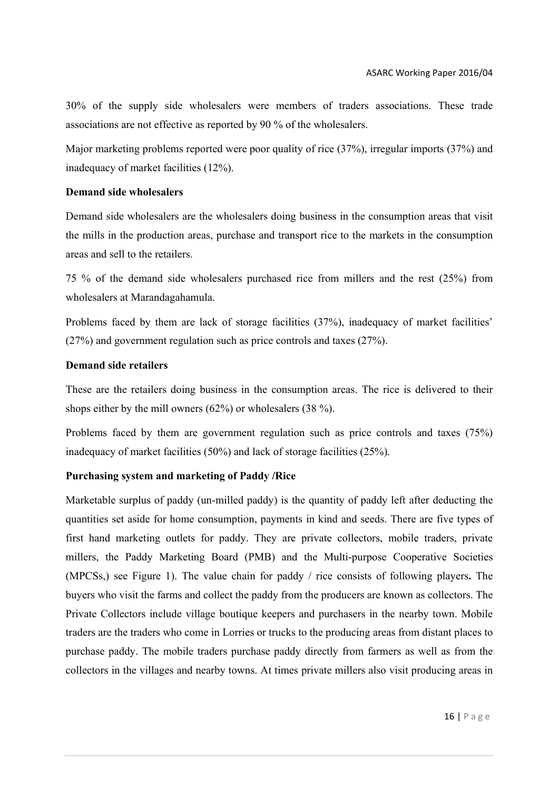30% of the supply side wholesalers were members of traders associations. These trade associations are not effective as reported by 90 % of the wholesalers.

Major marketing problems reported were poor quality of rice (37%), irregular imports (37%) and inadequacy of market facilities (12%).

# **Demand side wholesalers**

Demand side wholesalers are the wholesalers doing business in the consumption areas that visit the mills in the production areas, purchase and transport rice to the markets in the consumption areas and sell to the retailers.

75 % of the demand side wholesalers purchased rice from millers and the rest (25%) from wholesalers at Marandagahamula.

Problems faced by them are lack of storage facilities (37%), inadequacy of market facilities' (27%) and government regulation such as price controls and taxes (27%).

# **Demand side retailers**

These are the retailers doing business in the consumption areas. The rice is delivered to their shops either by the mill owners (62%) or wholesalers (38 %).

Problems faced by them are government regulation such as price controls and taxes (75%) inadequacy of market facilities (50%) and lack of storage facilities (25%).

# **Purchasing system and marketing of Paddy /Rice**

Marketable surplus of paddy (un-milled paddy) is the quantity of paddy left after deducting the quantities set aside for home consumption, payments in kind and seeds. There are five types of first hand marketing outlets for paddy. They are private collectors, mobile traders, private millers, the Paddy Marketing Board (PMB) and the Multi-purpose Cooperative Societies (MPCSs,) see Figure 1). The value chain for paddy / rice consists of following players**.** The buyers who visit the farms and collect the paddy from the producers are known as collectors. The Private Collectors include village boutique keepers and purchasers in the nearby town. Mobile traders are the traders who come in Lorries or trucks to the producing areas from distant places to purchase paddy. The mobile traders purchase paddy directly from farmers as well as from the collectors in the villages and nearby towns. At times private millers also visit producing areas in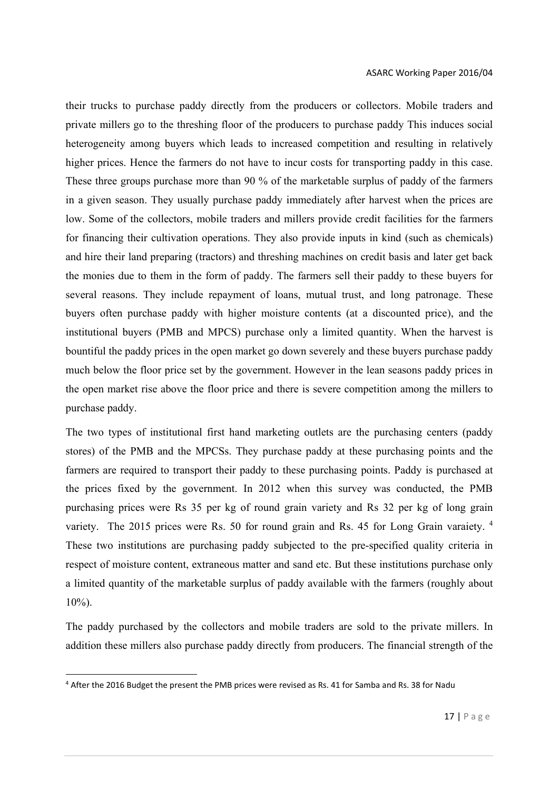their trucks to purchase paddy directly from the producers or collectors. Mobile traders and private millers go to the threshing floor of the producers to purchase paddy This induces social heterogeneity among buyers which leads to increased competition and resulting in relatively higher prices. Hence the farmers do not have to incur costs for transporting paddy in this case. These three groups purchase more than 90 % of the marketable surplus of paddy of the farmers in a given season. They usually purchase paddy immediately after harvest when the prices are low. Some of the collectors, mobile traders and millers provide credit facilities for the farmers for financing their cultivation operations. They also provide inputs in kind (such as chemicals) and hire their land preparing (tractors) and threshing machines on credit basis and later get back the monies due to them in the form of paddy. The farmers sell their paddy to these buyers for several reasons. They include repayment of loans, mutual trust, and long patronage. These buyers often purchase paddy with higher moisture contents (at a discounted price), and the institutional buyers (PMB and MPCS) purchase only a limited quantity. When the harvest is bountiful the paddy prices in the open market go down severely and these buyers purchase paddy much below the floor price set by the government. However in the lean seasons paddy prices in the open market rise above the floor price and there is severe competition among the millers to purchase paddy.

The two types of institutional first hand marketing outlets are the purchasing centers (paddy stores) of the PMB and the MPCSs. They purchase paddy at these purchasing points and the farmers are required to transport their paddy to these purchasing points. Paddy is purchased at the prices fixed by the government. In 2012 when this survey was conducted, the PMB purchasing prices were Rs 35 per kg of round grain variety and Rs 32 per kg of long grain variety. The 2015 prices were Rs. 50 for round grain and Rs. 45 for Long Grain varaiety. <sup>4</sup> These two institutions are purchasing paddy subjected to the pre-specified quality criteria in respect of moisture content, extraneous matter and sand etc. But these institutions purchase only a limited quantity of the marketable surplus of paddy available with the farmers (roughly about 10%).

The paddy purchased by the collectors and mobile traders are sold to the private millers. In addition these millers also purchase paddy directly from producers. The financial strength of the

<sup>4</sup> After the 2016 Budget the present the PMB prices were revised as Rs. 41 for Samba and Rs. 38 for Nadu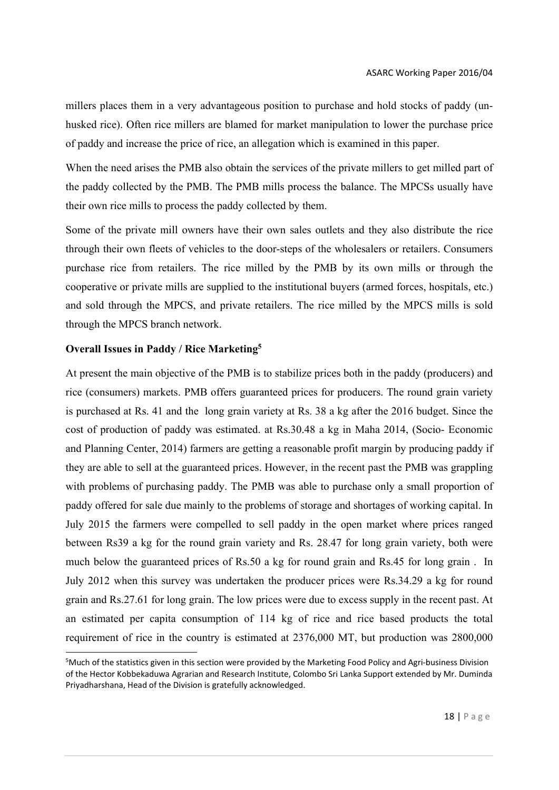millers places them in a very advantageous position to purchase and hold stocks of paddy (unhusked rice). Often rice millers are blamed for market manipulation to lower the purchase price of paddy and increase the price of rice, an allegation which is examined in this paper.

When the need arises the PMB also obtain the services of the private millers to get milled part of the paddy collected by the PMB. The PMB mills process the balance. The MPCSs usually have their own rice mills to process the paddy collected by them.

Some of the private mill owners have their own sales outlets and they also distribute the rice through their own fleets of vehicles to the door-steps of the wholesalers or retailers. Consumers purchase rice from retailers. The rice milled by the PMB by its own mills or through the cooperative or private mills are supplied to the institutional buyers (armed forces, hospitals, etc.) and sold through the MPCS, and private retailers. The rice milled by the MPCS mills is sold through the MPCS branch network.

# **Overall Issues in Paddy / Rice Marketing5**

At present the main objective of the PMB is to stabilize prices both in the paddy (producers) and rice (consumers) markets. PMB offers guaranteed prices for producers. The round grain variety is purchased at Rs. 41 and the long grain variety at Rs. 38 a kg after the 2016 budget. Since the cost of production of paddy was estimated. at Rs.30.48 a kg in Maha 2014, (Socio- Economic and Planning Center, 2014) farmers are getting a reasonable profit margin by producing paddy if they are able to sell at the guaranteed prices. However, in the recent past the PMB was grappling with problems of purchasing paddy. The PMB was able to purchase only a small proportion of paddy offered for sale due mainly to the problems of storage and shortages of working capital. In July 2015 the farmers were compelled to sell paddy in the open market where prices ranged between Rs39 a kg for the round grain variety and Rs. 28.47 for long grain variety, both were much below the guaranteed prices of Rs.50 a kg for round grain and Rs.45 for long grain . In July 2012 when this survey was undertaken the producer prices were Rs.34.29 a kg for round grain and Rs.27.61 for long grain. The low prices were due to excess supply in the recent past. At an estimated per capita consumption of 114 kg of rice and rice based products the total requirement of rice in the country is estimated at 2376,000 MT, but production was 2800,000

<sup>5</sup> Much of the statistics given in this section were provided by the Marketing Food Policy and Agri‐business Division of the Hector Kobbekaduwa Agrarian and Research Institute, Colombo Sri Lanka Support extended by Mr. Duminda Priyadharshana, Head of the Division is gratefully acknowledged.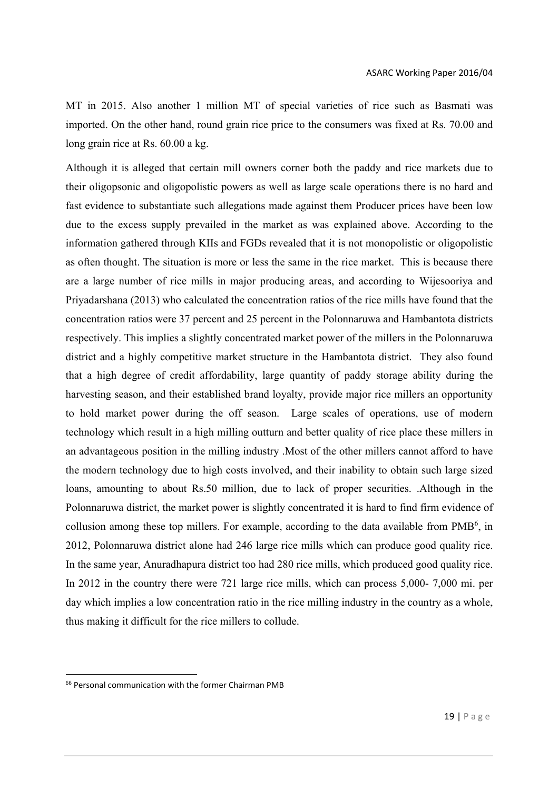MT in 2015. Also another 1 million MT of special varieties of rice such as Basmati was imported. On the other hand, round grain rice price to the consumers was fixed at Rs. 70.00 and long grain rice at Rs. 60.00 a kg.

Although it is alleged that certain mill owners corner both the paddy and rice markets due to their oligopsonic and oligopolistic powers as well as large scale operations there is no hard and fast evidence to substantiate such allegations made against them Producer prices have been low due to the excess supply prevailed in the market as was explained above. According to the information gathered through KIIs and FGDs revealed that it is not monopolistic or oligopolistic as often thought. The situation is more or less the same in the rice market. This is because there are a large number of rice mills in major producing areas, and according to Wijesooriya and Priyadarshana (2013) who calculated the concentration ratios of the rice mills have found that the concentration ratios were 37 percent and 25 percent in the Polonnaruwa and Hambantota districts respectively. This implies a slightly concentrated market power of the millers in the Polonnaruwa district and a highly competitive market structure in the Hambantota district. They also found that a high degree of credit affordability, large quantity of paddy storage ability during the harvesting season, and their established brand loyalty, provide major rice millers an opportunity to hold market power during the off season. Large scales of operations, use of modern technology which result in a high milling outturn and better quality of rice place these millers in an advantageous position in the milling industry .Most of the other millers cannot afford to have the modern technology due to high costs involved, and their inability to obtain such large sized loans, amounting to about Rs.50 million, due to lack of proper securities. .Although in the Polonnaruwa district, the market power is slightly concentrated it is hard to find firm evidence of collusion among these top millers. For example, according to the data available from PMB<sup>6</sup>, in 2012, Polonnaruwa district alone had 246 large rice mills which can produce good quality rice. In the same year, Anuradhapura district too had 280 rice mills, which produced good quality rice. In 2012 in the country there were 721 large rice mills, which can process 5,000- 7,000 mi. per day which implies a low concentration ratio in the rice milling industry in the country as a whole, thus making it difficult for the rice millers to collude.

<sup>66</sup> Personal communication with the former Chairman PMB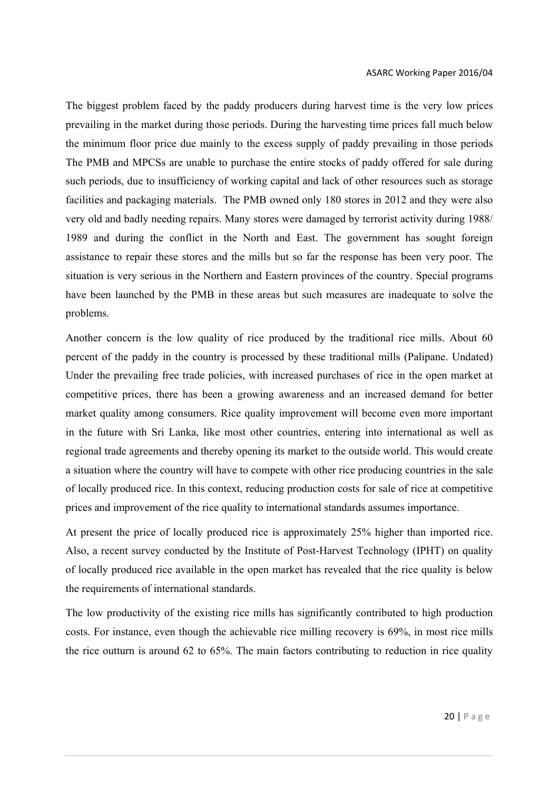The biggest problem faced by the paddy producers during harvest time is the very low prices prevailing in the market during those periods. During the harvesting time prices fall much below the minimum floor price due mainly to the excess supply of paddy prevailing in those periods The PMB and MPCSs are unable to purchase the entire stocks of paddy offered for sale during such periods, due to insufficiency of working capital and lack of other resources such as storage facilities and packaging materials. The PMB owned only 180 stores in 2012 and they were also very old and badly needing repairs. Many stores were damaged by terrorist activity during 1988/ 1989 and during the conflict in the North and East. The government has sought foreign assistance to repair these stores and the mills but so far the response has been very poor. The situation is very serious in the Northern and Eastern provinces of the country. Special programs have been launched by the PMB in these areas but such measures are inadequate to solve the problems.

Another concern is the low quality of rice produced by the traditional rice mills. About 60 percent of the paddy in the country is processed by these traditional mills (Palipane. Undated) Under the prevailing free trade policies, with increased purchases of rice in the open market at competitive prices, there has been a growing awareness and an increased demand for better market quality among consumers. Rice quality improvement will become even more important in the future with Sri Lanka, like most other countries, entering into international as well as regional trade agreements and thereby opening its market to the outside world. This would create a situation where the country will have to compete with other rice producing countries in the sale of locally produced rice. In this context, reducing production costs for sale of rice at competitive prices and improvement of the rice quality to international standards assumes importance.

At present the price of locally produced rice is approximately 25% higher than imported rice. Also, a recent survey conducted by the Institute of Post-Harvest Technology (IPHT) on quality of locally produced rice available in the open market has revealed that the rice quality is below the requirements of international standards.

The low productivity of the existing rice mills has significantly contributed to high production costs. For instance, even though the achievable rice milling recovery is 69%, in most rice mills the rice outturn is around 62 to 65%. The main factors contributing to reduction in rice quality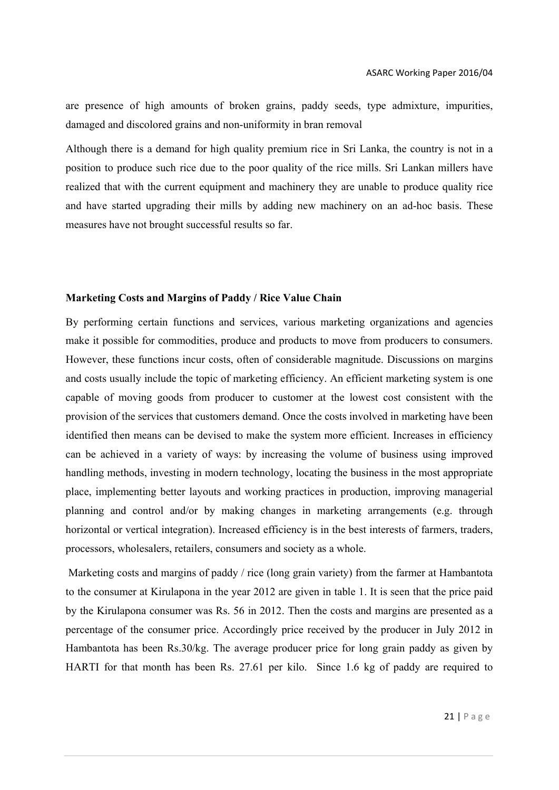are presence of high amounts of broken grains, paddy seeds, type admixture, impurities, damaged and discolored grains and non-uniformity in bran removal

Although there is a demand for high quality premium rice in Sri Lanka, the country is not in a position to produce such rice due to the poor quality of the rice mills. Sri Lankan millers have realized that with the current equipment and machinery they are unable to produce quality rice and have started upgrading their mills by adding new machinery on an ad-hoc basis. These measures have not brought successful results so far.

#### **Marketing Costs and Margins of Paddy / Rice Value Chain**

By performing certain functions and services, various marketing organizations and agencies make it possible for commodities, produce and products to move from producers to consumers. However, these functions incur costs, often of considerable magnitude. Discussions on margins and costs usually include the topic of marketing efficiency. An efficient marketing system is one capable of moving goods from producer to customer at the lowest cost consistent with the provision of the services that customers demand. Once the costs involved in marketing have been identified then means can be devised to make the system more efficient. Increases in efficiency can be achieved in a variety of ways: by increasing the volume of business using improved handling methods, investing in modern technology, locating the business in the most appropriate place, implementing better layouts and working practices in production, improving managerial planning and control and/or by making changes in marketing arrangements (e.g. through horizontal or vertical integration). Increased efficiency is in the best interests of farmers, traders, processors, wholesalers, retailers, consumers and society as a whole.

Marketing costs and margins of paddy / rice (long grain variety) from the farmer at Hambantota to the consumer at Kirulapona in the year 2012 are given in table 1. It is seen that the price paid by the Kirulapona consumer was Rs. 56 in 2012. Then the costs and margins are presented as a percentage of the consumer price. Accordingly price received by the producer in July 2012 in Hambantota has been Rs.30/kg. The average producer price for long grain paddy as given by HARTI for that month has been Rs. 27.61 per kilo. Since 1.6 kg of paddy are required to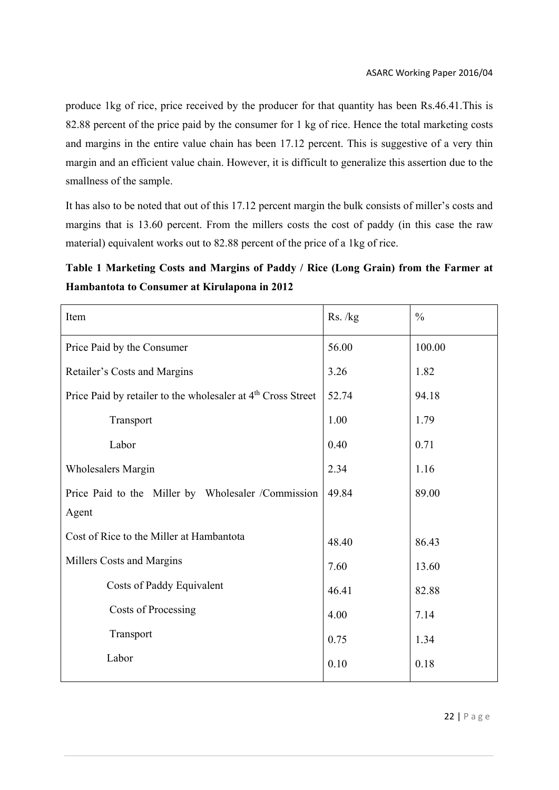produce 1kg of rice, price received by the producer for that quantity has been Rs.46.41.This is 82.88 percent of the price paid by the consumer for 1 kg of rice. Hence the total marketing costs and margins in the entire value chain has been 17.12 percent. This is suggestive of a very thin margin and an efficient value chain. However, it is difficult to generalize this assertion due to the smallness of the sample.

It has also to be noted that out of this 17.12 percent margin the bulk consists of miller's costs and margins that is 13.60 percent. From the millers costs the cost of paddy (in this case the raw material) equivalent works out to 82.88 percent of the price of a 1kg of rice.

**Table 1 Marketing Costs and Margins of Paddy / Rice (Long Grain) from the Farmer at Hambantota to Consumer at Kirulapona in 2012**

| Item                                                                     | Rs./kg | $\frac{0}{0}$ |
|--------------------------------------------------------------------------|--------|---------------|
| Price Paid by the Consumer                                               | 56.00  | 100.00        |
| Retailer's Costs and Margins                                             | 3.26   | 1.82          |
| Price Paid by retailer to the wholesaler at 4 <sup>th</sup> Cross Street | 52.74  | 94.18         |
| Transport                                                                | 1.00   | 1.79          |
| Labor                                                                    | 0.40   | 0.71          |
| <b>Wholesalers Margin</b>                                                | 2.34   | 1.16          |
| Price Paid to the Miller by Wholesaler /Commission                       | 49.84  | 89.00         |
| Agent                                                                    |        |               |
| Cost of Rice to the Miller at Hambantota                                 | 48.40  | 86.43         |
| Millers Costs and Margins                                                | 7.60   | 13.60         |
| Costs of Paddy Equivalent                                                | 46.41  | 82.88         |
| Costs of Processing                                                      | 4.00   | 7.14          |
| Transport                                                                | 0.75   | 1.34          |
| Labor                                                                    | 0.10   | 0.18          |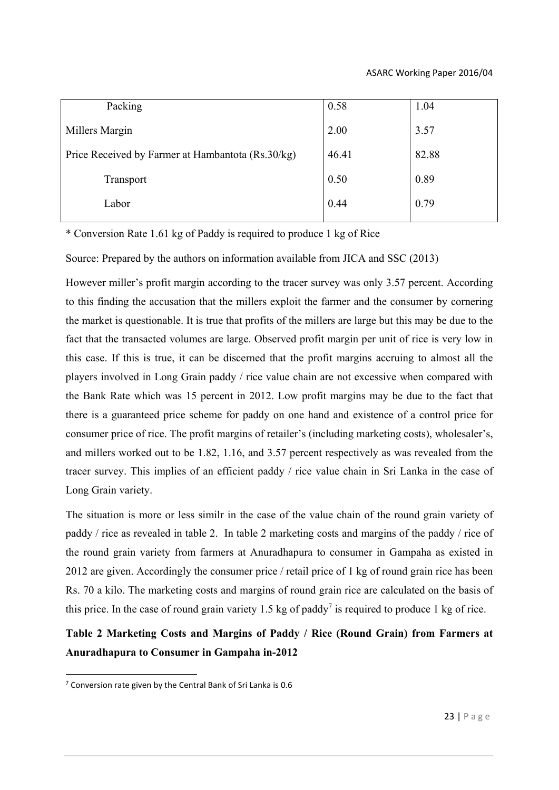| Packing                                           | 0.58  | 1.04  |
|---------------------------------------------------|-------|-------|
| Millers Margin                                    | 2.00  | 3.57  |
| Price Received by Farmer at Hambantota (Rs.30/kg) | 46.41 | 82.88 |
| Transport                                         | 0.50  | 0.89  |
| Labor                                             | 0.44  | 0.79  |

\* Conversion Rate 1.61 kg of Paddy is required to produce 1 kg of Rice

Source: Prepared by the authors on information available from JICA and SSC (2013)

However miller's profit margin according to the tracer survey was only 3.57 percent. According to this finding the accusation that the millers exploit the farmer and the consumer by cornering the market is questionable. It is true that profits of the millers are large but this may be due to the fact that the transacted volumes are large. Observed profit margin per unit of rice is very low in this case. If this is true, it can be discerned that the profit margins accruing to almost all the players involved in Long Grain paddy / rice value chain are not excessive when compared with the Bank Rate which was 15 percent in 2012. Low profit margins may be due to the fact that there is a guaranteed price scheme for paddy on one hand and existence of a control price for consumer price of rice. The profit margins of retailer's (including marketing costs), wholesaler's, and millers worked out to be 1.82, 1.16, and 3.57 percent respectively as was revealed from the tracer survey. This implies of an efficient paddy / rice value chain in Sri Lanka in the case of Long Grain variety.

The situation is more or less similr in the case of the value chain of the round grain variety of paddy / rice as revealed in table 2. In table 2 marketing costs and margins of the paddy / rice of the round grain variety from farmers at Anuradhapura to consumer in Gampaha as existed in 2012 are given. Accordingly the consumer price / retail price of 1 kg of round grain rice has been Rs. 70 a kilo. The marketing costs and margins of round grain rice are calculated on the basis of this price. In the case of round grain variety 1.5 kg of paddy<sup>7</sup> is required to produce 1 kg of rice.

**Table 2 Marketing Costs and Margins of Paddy / Rice (Round Grain) from Farmers at Anuradhapura to Consumer in Gampaha in-2012** 

 $7$  Conversion rate given by the Central Bank of Sri Lanka is 0.6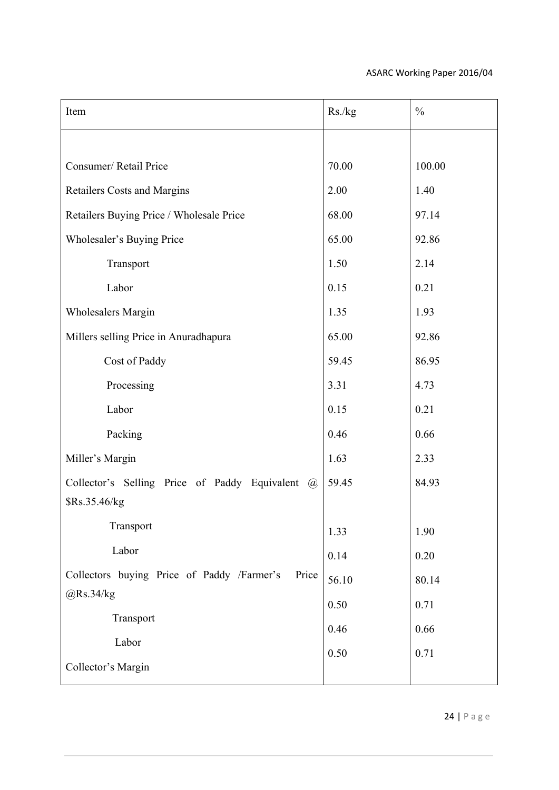| Item                                                           | Rs./kg | $\frac{0}{0}$ |
|----------------------------------------------------------------|--------|---------------|
|                                                                |        |               |
| Consumer/Retail Price                                          | 70.00  | 100.00        |
| <b>Retailers Costs and Margins</b>                             | 2.00   | 1.40          |
| Retailers Buying Price / Wholesale Price                       | 68.00  | 97.14         |
| Wholesaler's Buying Price                                      | 65.00  | 92.86         |
| Transport                                                      | 1.50   | 2.14          |
| Labor                                                          | 0.15   | 0.21          |
| <b>Wholesalers Margin</b>                                      | 1.35   | 1.93          |
| Millers selling Price in Anuradhapura                          | 65.00  | 92.86         |
| Cost of Paddy                                                  | 59.45  | 86.95         |
| Processing                                                     | 3.31   | 4.73          |
| Labor                                                          | 0.15   | 0.21          |
| Packing                                                        | 0.46   | 0.66          |
| Miller's Margin                                                | 1.63   | 2.33          |
| Collector's Selling Price of Paddy Equivalent<br>$\mathcal{a}$ | 59.45  | 84.93         |
| \$Rs.35.46/kg                                                  |        |               |
| Transport                                                      | 1.33   | 1.90          |
| Labor                                                          | 0.14   | 0.20          |
| Collectors buying Price of Paddy /Farmer's<br>Price            | 56.10  | 80.14         |
| @Rs.34/kg                                                      | 0.50   | 0.71          |
| Transport                                                      | 0.46   | 0.66          |
| Labor                                                          | 0.50   | 0.71          |
| Collector's Margin                                             |        |               |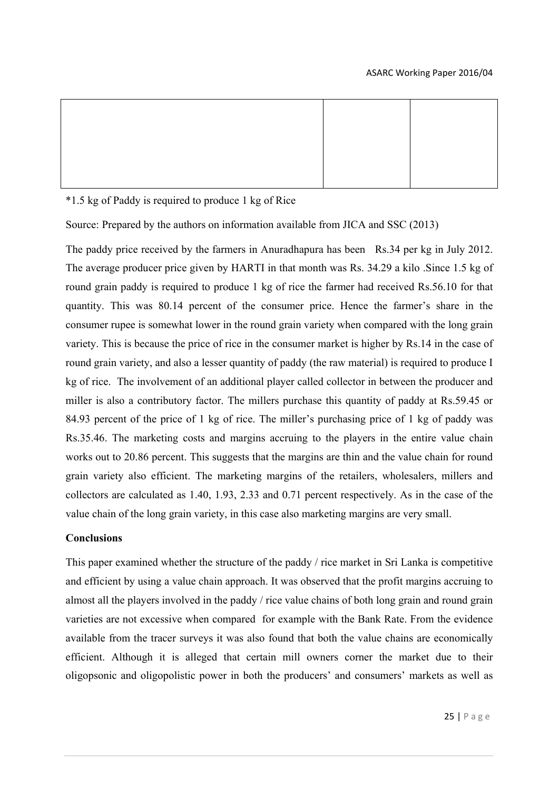\*1.5 kg of Paddy is required to produce 1 kg of Rice

Source: Prepared by the authors on information available from JICA and SSC (2013)

The paddy price received by the farmers in Anuradhapura has been Rs.34 per kg in July 2012. The average producer price given by HARTI in that month was Rs. 34.29 a kilo .Since 1.5 kg of round grain paddy is required to produce 1 kg of rice the farmer had received Rs.56.10 for that quantity. This was 80.14 percent of the consumer price. Hence the farmer's share in the consumer rupee is somewhat lower in the round grain variety when compared with the long grain variety. This is because the price of rice in the consumer market is higher by Rs.14 in the case of round grain variety, and also a lesser quantity of paddy (the raw material) is required to produce I kg of rice. The involvement of an additional player called collector in between the producer and miller is also a contributory factor. The millers purchase this quantity of paddy at Rs.59.45 or 84.93 percent of the price of 1 kg of rice. The miller's purchasing price of 1 kg of paddy was Rs.35.46. The marketing costs and margins accruing to the players in the entire value chain works out to 20.86 percent. This suggests that the margins are thin and the value chain for round grain variety also efficient. The marketing margins of the retailers, wholesalers, millers and collectors are calculated as 1.40, 1.93, 2.33 and 0.71 percent respectively. As in the case of the value chain of the long grain variety, in this case also marketing margins are very small.

# **Conclusions**

This paper examined whether the structure of the paddy / rice market in Sri Lanka is competitive and efficient by using a value chain approach. It was observed that the profit margins accruing to almost all the players involved in the paddy / rice value chains of both long grain and round grain varieties are not excessive when compared for example with the Bank Rate. From the evidence available from the tracer surveys it was also found that both the value chains are economically efficient. Although it is alleged that certain mill owners corner the market due to their oligopsonic and oligopolistic power in both the producers' and consumers' markets as well as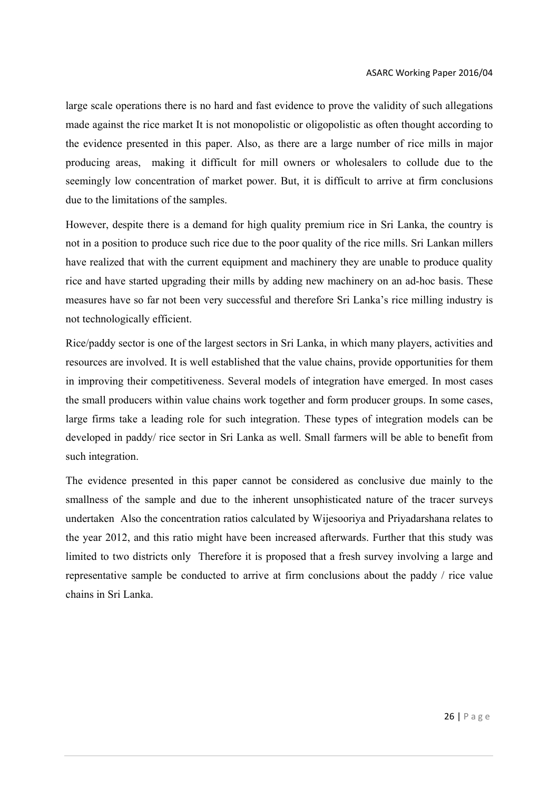large scale operations there is no hard and fast evidence to prove the validity of such allegations made against the rice market It is not monopolistic or oligopolistic as often thought according to the evidence presented in this paper. Also, as there are a large number of rice mills in major producing areas, making it difficult for mill owners or wholesalers to collude due to the seemingly low concentration of market power. But, it is difficult to arrive at firm conclusions due to the limitations of the samples.

However, despite there is a demand for high quality premium rice in Sri Lanka, the country is not in a position to produce such rice due to the poor quality of the rice mills. Sri Lankan millers have realized that with the current equipment and machinery they are unable to produce quality rice and have started upgrading their mills by adding new machinery on an ad-hoc basis. These measures have so far not been very successful and therefore Sri Lanka's rice milling industry is not technologically efficient.

Rice/paddy sector is one of the largest sectors in Sri Lanka, in which many players, activities and resources are involved. It is well established that the value chains, provide opportunities for them in improving their competitiveness. Several models of integration have emerged. In most cases the small producers within value chains work together and form producer groups. In some cases, large firms take a leading role for such integration. These types of integration models can be developed in paddy/ rice sector in Sri Lanka as well. Small farmers will be able to benefit from such integration.

The evidence presented in this paper cannot be considered as conclusive due mainly to the smallness of the sample and due to the inherent unsophisticated nature of the tracer surveys undertaken Also the concentration ratios calculated by Wijesooriya and Priyadarshana relates to the year 2012, and this ratio might have been increased afterwards. Further that this study was limited to two districts only Therefore it is proposed that a fresh survey involving a large and representative sample be conducted to arrive at firm conclusions about the paddy / rice value chains in Sri Lanka.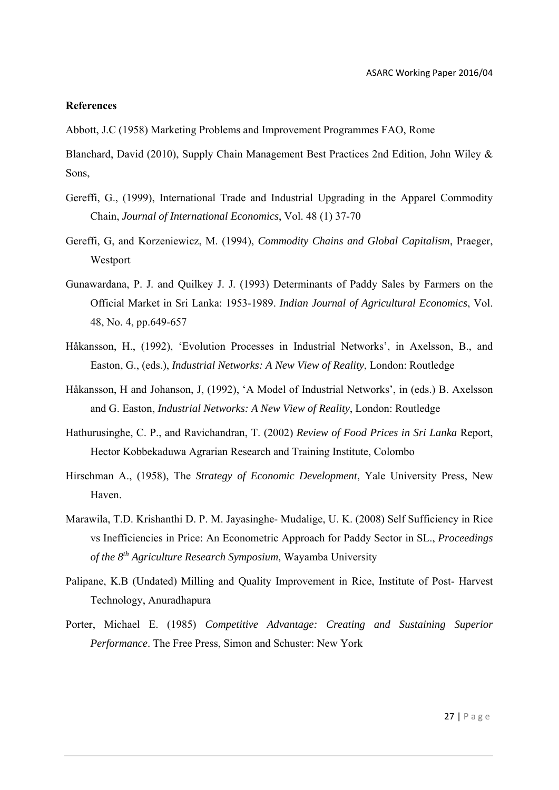#### **References**

Abbott, J.C (1958) Marketing Problems and Improvement Programmes FAO, Rome

Blanchard, David (2010), Supply Chain Management Best Practices 2nd Edition, John Wiley & Sons,

- Gereffi, G., (1999), International Trade and Industrial Upgrading in the Apparel Commodity Chain, *Journal of International Economics*, Vol. 48 (1) 37-70
- Gereffi, G, and Korzeniewicz, M. (1994), *Commodity Chains and Global Capitalism*, Praeger, Westport
- Gunawardana, P. J. and Quilkey J. J. (1993) Determinants of Paddy Sales by Farmers on the Official Market in Sri Lanka: 1953-1989. *Indian Journal of Agricultural Economics*, Vol. 48, No. 4, pp.649-657
- Håkansson, H., (1992), 'Evolution Processes in Industrial Networks', in Axelsson, B., and Easton, G., (eds.), *Industrial Networks: A New View of Reality*, London: Routledge
- Håkansson, H and Johanson, J, (1992), 'A Model of Industrial Networks', in (eds.) B. Axelsson and G. Easton, *Industrial Networks: A New View of Reality*, London: Routledge
- Hathurusinghe, C. P., and Ravichandran, T. (2002) *Review of Food Prices in Sri Lanka* Report, Hector Kobbekaduwa Agrarian Research and Training Institute, Colombo
- Hirschman A., (1958), The *Strategy of Economic Development*, Yale University Press, New Haven.
- Marawila, T.D. Krishanthi D. P. M. Jayasinghe- Mudalige, U. K. (2008) Self Sufficiency in Rice vs Inefficiencies in Price: An Econometric Approach for Paddy Sector in SL., *Proceedings of the 8th Agriculture Research Symposium*, Wayamba University
- Palipane, K.B (Undated) Milling and Quality Improvement in Rice, Institute of Post- Harvest Technology, Anuradhapura
- Porter, Michael E. (1985) *Competitive Advantage: Creating and Sustaining Superior Performance*. The Free Press, Simon and Schuster: New York